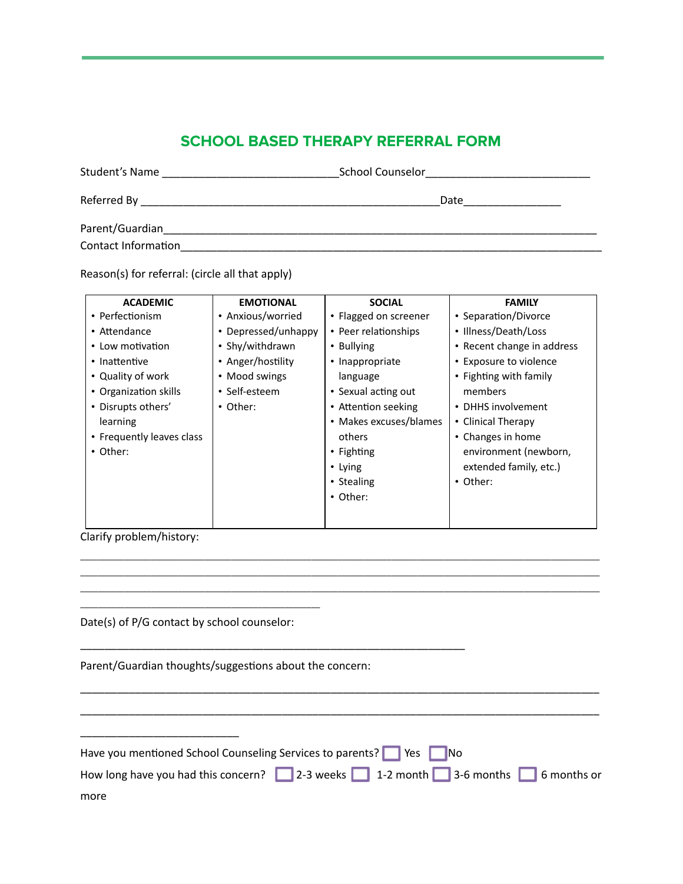## **SCHOOL BASED THERAPY REFERRAL FORM**

| Student's Name      | School Counselor |  |  |  |  |  |
|---------------------|------------------|--|--|--|--|--|
|                     | Date             |  |  |  |  |  |
| Parent/Guardian     |                  |  |  |  |  |  |
| Contact Information |                  |  |  |  |  |  |

Reason(s) for referral: (circle all that apply)

| <b>ACADEMIC</b>           | <b>EMOTIONAL</b>    | <b>SOCIAL</b>          | <b>FAMILY</b>              |
|---------------------------|---------------------|------------------------|----------------------------|
| • Perfectionism           | • Anxious/worried   | • Flagged on screener  | • Separation/Divorce       |
| • Attendance              | • Depressed/unhappy | • Peer relationships   | • Illness/Death/Loss       |
| • Low motivation          | • Shy/withdrawn     | • Bullying             | • Recent change in address |
| • Inattentive             | • Anger/hostility   | • Inappropriate        | • Exposure to violence     |
| • Quality of work         | • Mood swings       | language               | • Fighting with family     |
| • Organization skills     | • Self-esteem       | • Sexual acting out    | members                    |
| • Disrupts others'        | • Other:            | • Attention seeking    | • DHHS involvement         |
| learning                  |                     | • Makes excuses/blames | • Clinical Therapy         |
| • Frequently leaves class |                     | others                 | • Changes in home          |
| • Other:                  |                     | $\cdot$ Fighting       | environment (newborn,      |
|                           |                     | • Lying                | extended family, etc.)     |
|                           |                     | • Stealing             | • Other:                   |
|                           |                     | • Other:               |                            |
|                           |                     |                        |                            |
|                           |                     |                        |                            |

\_\_\_\_\_\_\_\_\_\_\_\_\_\_\_\_\_\_\_\_\_\_\_\_\_\_\_\_\_\_\_\_\_\_\_\_\_\_\_\_\_\_\_\_\_\_\_\_\_\_\_\_\_\_\_\_\_\_\_\_\_\_\_\_\_\_\_\_\_\_\_\_\_\_\_\_\_\_\_\_\_\_\_\_\_\_\_\_\_\_\_\_\_\_\_\_\_\_\_\_\_\_\_\_\_\_\_\_\_\_\_\_\_\_\_\_\_ \_\_\_\_\_\_\_\_\_\_\_\_\_\_\_\_\_\_\_\_\_\_\_\_\_\_\_\_\_\_\_\_\_\_\_\_\_\_\_\_\_\_\_\_\_\_\_\_\_\_\_\_\_\_\_\_\_\_\_\_\_\_\_\_\_\_\_\_\_\_\_\_\_\_\_\_\_\_\_\_\_\_\_\_\_\_\_\_\_\_\_\_\_\_\_\_\_\_\_\_\_\_\_\_\_\_\_\_\_\_\_\_\_\_\_\_\_ \_\_\_\_\_\_\_\_\_\_\_\_\_\_\_\_\_\_\_\_\_\_\_\_\_\_\_\_\_\_\_\_\_\_\_\_\_\_\_\_\_\_\_\_\_\_\_\_\_\_\_\_\_\_\_\_\_\_\_\_\_\_\_\_\_\_\_\_\_\_\_\_\_\_\_\_\_\_\_\_\_\_\_\_\_\_\_\_\_\_\_\_\_\_\_\_\_\_\_\_\_\_\_\_\_\_\_\_\_\_\_\_\_\_\_\_\_

Clarify problem/history:

Date(s) of P/G contact by school counselor:

\_\_\_\_\_\_\_\_\_\_\_\_\_\_\_\_\_\_\_\_\_\_\_\_\_\_

\_\_\_\_\_\_\_\_\_\_\_\_\_\_\_\_\_\_\_\_\_\_\_\_\_\_\_\_\_\_\_\_\_\_\_\_\_\_\_\_\_\_\_\_\_\_\_\_\_\_\_\_\_\_

Parent/Guardian thoughts/suggestions about the concern:

\_\_\_\_\_\_\_\_\_\_\_\_\_\_\_\_\_\_\_\_\_\_\_\_\_\_\_\_\_\_\_\_\_\_\_\_\_\_\_\_\_\_\_\_\_\_\_\_\_\_\_\_\_\_\_\_\_\_\_\_\_\_\_

| Have you mentioned School Counseling Services to parents? Ves No               |
|--------------------------------------------------------------------------------|
| How long have you had this concern? 2-3 weeks 1-2 month 3-6 months 6 months or |
| more                                                                           |

\_\_\_\_\_\_\_\_\_\_\_\_\_\_\_\_\_\_\_\_\_\_\_\_\_\_\_\_\_\_\_\_\_\_\_\_\_\_\_\_\_\_\_\_\_\_\_\_\_\_\_\_\_\_\_\_\_\_\_\_\_\_\_\_\_\_\_\_\_\_\_\_\_\_\_\_\_\_\_\_\_\_\_\_\_ \_\_\_\_\_\_\_\_\_\_\_\_\_\_\_\_\_\_\_\_\_\_\_\_\_\_\_\_\_\_\_\_\_\_\_\_\_\_\_\_\_\_\_\_\_\_\_\_\_\_\_\_\_\_\_\_\_\_\_\_\_\_\_\_\_\_\_\_\_\_\_\_\_\_\_\_\_\_\_\_\_\_\_\_\_